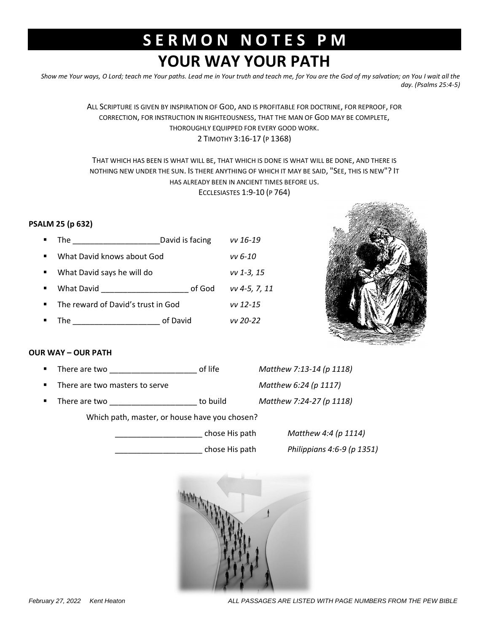## **S E R M O N N O T E S P M YOUR WAY YOUR PATH**

*Show me Your ways, O Lord; teach me Your paths. Lead me in Your truth and teach me, for You are the God of my salvation; on You I wait all the day. (Psalms 25:4-5)*

> ALL SCRIPTURE IS GIVEN BY INSPIRATION OF GOD, AND IS PROFITABLE FOR DOCTRINE, FOR REPROOF, FOR CORRECTION, FOR INSTRUCTION IN RIGHTEOUSNESS, THAT THE MAN OF GOD MAY BE COMPLETE, THOROUGHLY EQUIPPED FOR EVERY GOOD WORK. 2 TIMOTHY 3:16-17 (P 1368)

## THAT WHICH HAS BEEN IS WHAT WILL BE, THAT WHICH IS DONE IS WHAT WILL BE DONE, AND THERE IS NOTHING NEW UNDER THE SUN. IS THERE ANYTHING OF WHICH IT MAY BE SAID, "SEE, THIS IS NEW"? IT HAS ALREADY BEEN IN ANCIENT TIMES BEFORE US. ECCLESIASTES 1:9-10 (P 764)

## **PSALM 25 (p 632)**

| $\blacksquare$ | The                                | David is facing | vv 16-19      |
|----------------|------------------------------------|-----------------|---------------|
| $\blacksquare$ | What David knows about God         |                 | vv 6-10       |
| $\blacksquare$ | What David says he will do         |                 | $vv$ 1-3, 15  |
| $\blacksquare$ | What David                         | of God          | vv 4-5, 7, 11 |
| $\blacksquare$ | The reward of David's trust in God |                 | $vv$ 12-15    |
|                | The                                | of David        | vv 20-22      |



## **OUR WAY – OUR PATH**

- There are two \_\_\_\_\_\_\_\_\_\_\_\_\_\_\_\_\_\_\_\_ of life *Matthew 7:13-14 (p 1118)*
- There are two masters to serve *Matthew 6:24 (p 1117)*
- There are two \_\_\_\_\_\_\_\_\_\_\_\_\_\_\_\_\_\_\_\_ to build *Matthew 7:24-27 (p 1118)*

Which path, master, or house have you chosen?

\_\_\_\_\_\_\_\_\_\_\_\_\_\_\_\_\_\_\_\_ chose His path *Matthew 4:4 (p 1114)*

\_\_\_\_\_\_\_\_\_\_\_\_\_\_\_\_\_\_\_\_ chose His path *Philippians 4:6-9 (p 1351)*